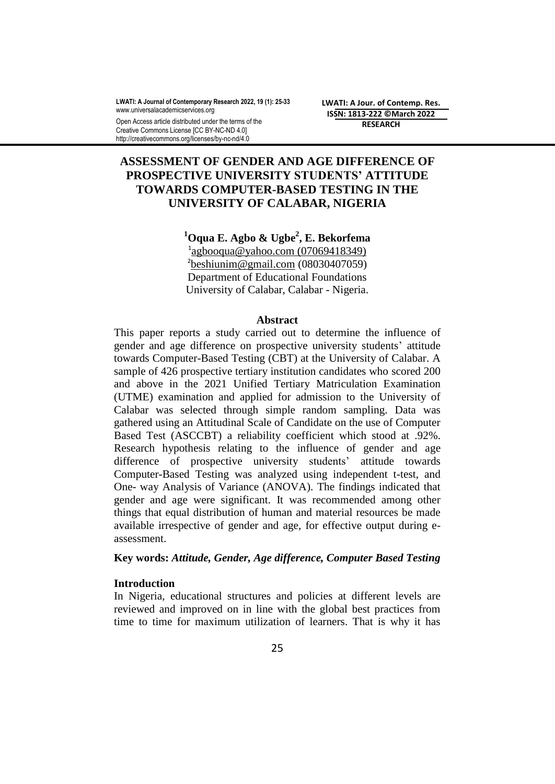**LWATI: A Journal of Contemporary Research 2022, 19 (1): 25-33** www.universalacademicservices.org

Open Access article distributed under the terms of the Creative Commons License [CC BY-NC-ND 4.0] http://creativecommons.org/licenses/by-nc-nd/4.0

**LWATI: A Jour. of Contemp. Res. ISSN: 1813-222 ©March 2022 RESEARCH**

# **ASSESSMENT OF GENDER AND AGE DIFFERENCE OF PROSPECTIVE UNIVERSITY STUDENTS' ATTITUDE TOWARDS COMPUTER-BASED TESTING IN THE UNIVERSITY OF CALABAR, NIGERIA**

**<sup>1</sup>Oqua E. Agbo & Ugbe<sup>2</sup> , E. Bekorfema** <sup>1</sup>[agbooqua@yahoo.com](mailto:agbooqua@yahoo.com) (07069418349)  $\frac{2}{\text{beshiunim@gmail.com}}$  $\frac{2}{\text{beshiunim@gmail.com}}$  $\frac{2}{\text{beshiunim@gmail.com}}$  (08030407059) Department of Educational Foundations University of Calabar, Calabar - Nigeria.

#### **Abstract**

This paper reports a study carried out to determine the influence of gender and age difference on prospective university students' attitude towards Computer-Based Testing (CBT) at the University of Calabar. A sample of 426 prospective tertiary institution candidates who scored 200 and above in the 2021 Unified Tertiary Matriculation Examination (UTME) examination and applied for admission to the University of Calabar was selected through simple random sampling. Data was gathered using an Attitudinal Scale of Candidate on the use of Computer Based Test (ASCCBT) a reliability coefficient which stood at .92%. Research hypothesis relating to the influence of gender and age difference of prospective university students' attitude towards Computer-Based Testing was analyzed using independent t-test, and One- way Analysis of Variance (ANOVA). The findings indicated that gender and age were significant. It was recommended among other things that equal distribution of human and material resources be made available irrespective of gender and age, for effective output during eassessment.

### **Key words:** *Attitude, Gender, Age difference, Computer Based Testing*

#### **Introduction**

In Nigeria, educational structures and policies at different levels are reviewed and improved on in line with the global best practices from time to time for maximum utilization of learners. That is why it has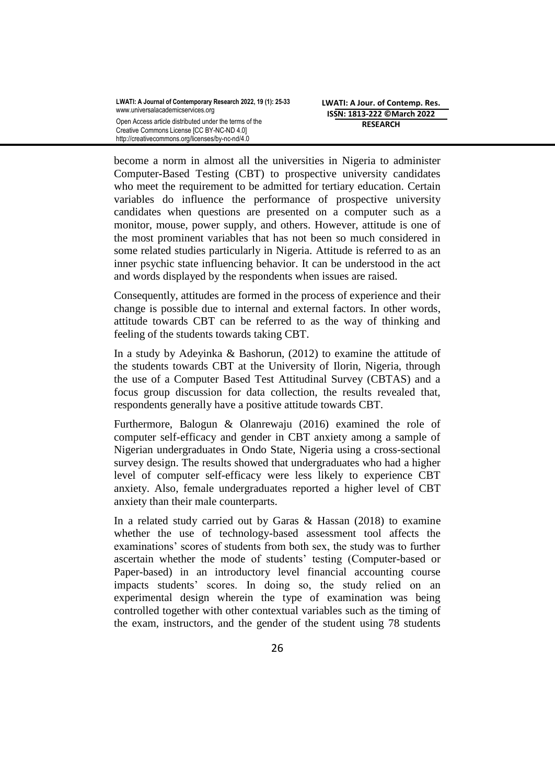become a norm in almost all the universities in Nigeria to administer Computer-Based Testing (CBT) to prospective university candidates who meet the requirement to be admitted for tertiary education. Certain variables do influence the performance of prospective university candidates when questions are presented on a computer such as a monitor, mouse, power supply, and others. However, attitude is one of the most prominent variables that has not been so much considered in some related studies particularly in Nigeria. Attitude is referred to as an inner psychic state influencing behavior. It can be understood in the act and words displayed by the respondents when issues are raised.

Consequently, attitudes are formed in the process of experience and their change is possible due to internal and external factors. In other words, attitude towards CBT can be referred to as the way of thinking and feeling of the students towards taking CBT.

In a study by Adeyinka & Bashorun, (2012) to examine the attitude of the students towards CBT at the University of Ilorin, Nigeria, through the use of a Computer Based Test Attitudinal Survey (CBTAS) and a focus group discussion for data collection, the results revealed that, respondents generally have a positive attitude towards CBT.

Furthermore, Balogun & Olanrewaju (2016) examined the role of computer self-efficacy and gender in CBT anxiety among a sample of Nigerian undergraduates in Ondo State, Nigeria using a cross-sectional survey design. The results showed that undergraduates who had a higher level of computer self-efficacy were less likely to experience CBT anxiety. Also, female undergraduates reported a higher level of CBT anxiety than their male counterparts.

In a related study carried out by Garas & Hassan (2018) to examine whether the use of technology-based assessment tool affects the examinations' scores of students from both sex, the study was to further ascertain whether the mode of students' testing (Computer-based or Paper-based) in an introductory level financial accounting course impacts students' scores. In doing so, the study relied on an experimental design wherein the type of examination was being controlled together with other contextual variables such as the timing of the exam, instructors, and the gender of the student using 78 students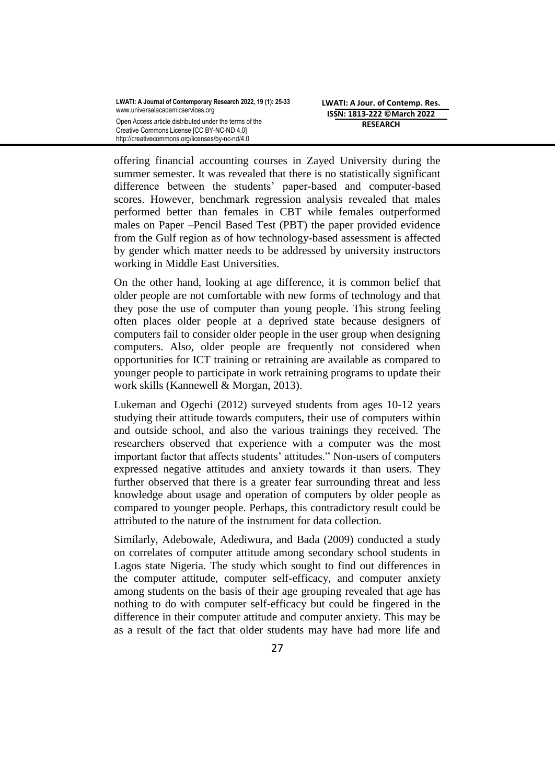offering financial accounting courses in Zayed University during the summer semester. It was revealed that there is no statistically significant difference between the students' paper-based and computer-based scores. However, benchmark regression analysis revealed that males performed better than females in CBT while females outperformed males on Paper –Pencil Based Test (PBT) the paper provided evidence from the Gulf region as of how technology-based assessment is affected by gender which matter needs to be addressed by university instructors working in Middle East Universities.

On the other hand, looking at age difference, it is common belief that older people are not comfortable with new forms of technology and that they pose the use of computer than young people. This strong feeling often places older people at a deprived state because designers of computers fail to consider older people in the user group when designing computers. Also, older people are frequently not considered when opportunities for ICT training or retraining are available as compared to younger people to participate in work retraining programs to update their work skills (Kannewell & Morgan, 2013).

Lukeman and Ogechi (2012) surveyed students from ages 10-12 years studying their attitude towards computers, their use of computers within and outside school, and also the various trainings they received. The researchers observed that experience with a computer was the most important factor that affects students' attitudes." Non-users of computers expressed negative attitudes and anxiety towards it than users. They further observed that there is a greater fear surrounding threat and less knowledge about usage and operation of computers by older people as compared to younger people. Perhaps, this contradictory result could be attributed to the nature of the instrument for data collection.

Similarly, Adebowale, Adediwura, and Bada (2009) conducted a study on correlates of computer attitude among secondary school students in Lagos state Nigeria. The study which sought to find out differences in the computer attitude, computer self-efficacy, and computer anxiety among students on the basis of their age grouping revealed that age has nothing to do with computer self-efficacy but could be fingered in the difference in their computer attitude and computer anxiety. This may be as a result of the fact that older students may have had more life and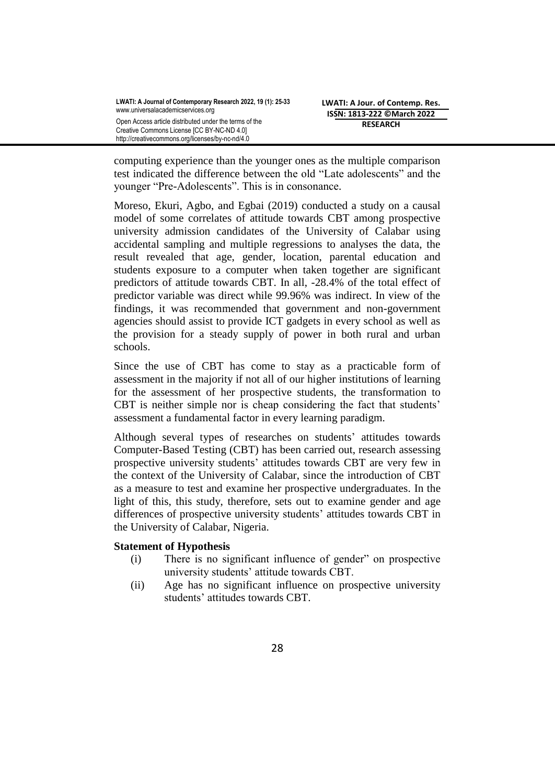computing experience than the younger ones as the multiple comparison test indicated the difference between the old "Late adolescents" and the younger "Pre-Adolescents". This is in consonance.

Moreso, Ekuri, Agbo, and Egbai (2019) conducted a study on a causal model of some correlates of attitude towards CBT among prospective university admission candidates of the University of Calabar using accidental sampling and multiple regressions to analyses the data, the result revealed that age, gender, location, parental education and students exposure to a computer when taken together are significant predictors of attitude towards CBT. In all, -28.4% of the total effect of predictor variable was direct while 99.96% was indirect. In view of the findings, it was recommended that government and non-government agencies should assist to provide ICT gadgets in every school as well as the provision for a steady supply of power in both rural and urban schools.

Since the use of CBT has come to stay as a practicable form of assessment in the majority if not all of our higher institutions of learning for the assessment of her prospective students, the transformation to CBT is neither simple nor is cheap considering the fact that students' assessment a fundamental factor in every learning paradigm.

Although several types of researches on students' attitudes towards Computer-Based Testing (CBT) has been carried out, research assessing prospective university students' attitudes towards CBT are very few in the context of the University of Calabar, since the introduction of CBT as a measure to test and examine her prospective undergraduates. In the light of this, this study, therefore, sets out to examine gender and age differences of prospective university students' attitudes towards CBT in the University of Calabar, Nigeria.

### **Statement of Hypothesis**

- (i) There is no significant influence of gender" on prospective university students' attitude towards CBT.
- (ii) Age has no significant influence on prospective university students' attitudes towards CBT.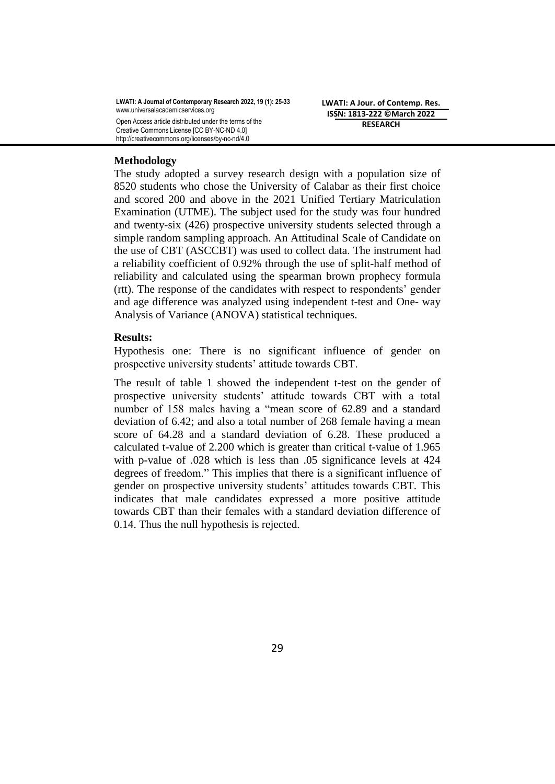**LWATI: A Journal of Contemporary Research 2022, 19 (1): 25-33** www.universalacademicservices.org Open Access article distributed under the terms of the Creative Commons License [CC BY-NC-ND 4.0] http://creativecommons.org/licenses/by-nc-nd/4.0

**LWATI: A Jour. of Contemp. Res. ISSN: 1813-222 ©March 2022 RESEARCH**

#### **Methodology**

The study adopted a survey research design with a population size of 8520 students who chose the University of Calabar as their first choice and scored 200 and above in the 2021 Unified Tertiary Matriculation Examination (UTME). The subject used for the study was four hundred and twenty-six (426) prospective university students selected through a simple random sampling approach. An Attitudinal Scale of Candidate on the use of CBT (ASCCBT) was used to collect data. The instrument had a reliability coefficient of 0.92% through the use of split-half method of reliability and calculated using the spearman brown prophecy formula (rtt). The response of the candidates with respect to respondents' gender and age difference was analyzed using independent t-test and One- way Analysis of Variance (ANOVA) statistical techniques.

#### **Results:**

Hypothesis one: There is no significant influence of gender on prospective university students' attitude towards CBT.

The result of table 1 showed the independent t-test on the gender of prospective university students' attitude towards CBT with a total number of 158 males having a "mean score of 62.89 and a standard deviation of 6.42; and also a total number of 268 female having a mean score of 64.28 and a standard deviation of 6.28. These produced a calculated t-value of 2.200 which is greater than critical t-value of 1.965 with p-value of .028 which is less than .05 significance levels at 424 degrees of freedom." This implies that there is a significant influence of gender on prospective university students' attitudes towards CBT. This indicates that male candidates expressed a more positive attitude towards CBT than their females with a standard deviation difference of 0.14. Thus the null hypothesis is rejected.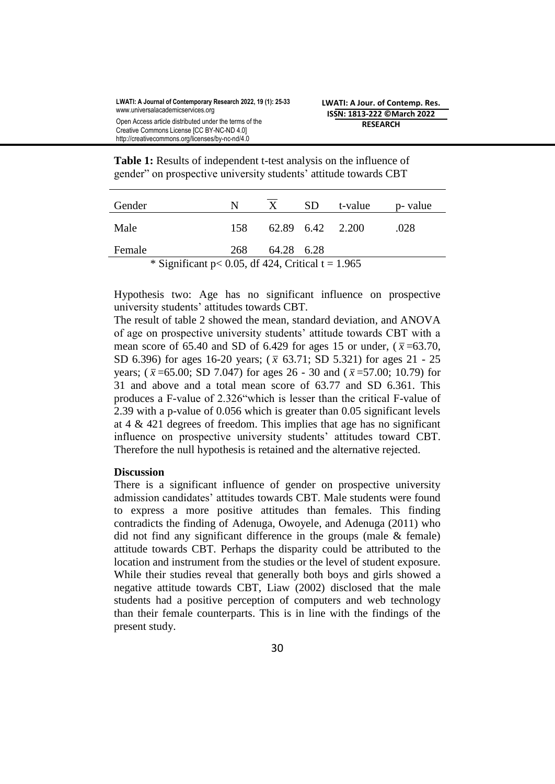Table 1: Results of independent t-test analysis on the influence of gender" on prospective university students' attitude towards CBT

| Gender                                                | N    | $\mathbf{X}$     | SD. | t-value | p- value |  |  |
|-------------------------------------------------------|------|------------------|-----|---------|----------|--|--|
| Male                                                  | 158. | 62.89 6.42 2.200 |     |         | .028     |  |  |
| Female                                                | 268  | 64.28 6.28       |     |         |          |  |  |
| * Significant $p < 0.05$ , df 424, Critical t = 1.965 |      |                  |     |         |          |  |  |

Hypothesis two: Age has no significant influence on prospective university students' attitudes towards CBT.

The result of table 2 showed the mean, standard deviation, and ANOVA of age on prospective university students' attitude towards CBT with a mean score of 65.40 and SD of 6.429 for ages 15 or under,  $(\bar{x} = 63.70,$ SD 6.396) for ages 16-20 years;  $(\bar{x}$  63.71; SD 5.321) for ages 21 - 25 years;  $(\bar{x} = 65.00; SD 7.047)$  for ages 26 - 30 and  $(\bar{x} = 57.00; 10.79)$  for 31 and above and a total mean score of 63.77 and SD 6.361. This produces a F-value of 2.326"which is lesser than the critical F-value of 2.39 with a p-value of 0.056 which is greater than 0.05 significant levels at  $4 \& 421$  degrees of freedom. This implies that age has no significant influence on prospective university students' attitudes toward CBT. Therefore the null hypothesis is retained and the alternative rejected.

### **Discussion**

There is a significant influence of gender on prospective university admission candidates' attitudes towards CBT. Male students were found to express a more positive attitudes than females. This finding contradicts the finding of Adenuga, Owoyele, and Adenuga (2011) who did not find any significant difference in the groups (male & female) attitude towards CBT. Perhaps the disparity could be attributed to the location and instrument from the studies or the level of student exposure. While their studies reveal that generally both boys and girls showed a negative attitude towards CBT, Liaw (2002) disclosed that the male students had a positive perception of computers and web technology than their female counterparts. This is in line with the findings of the present study.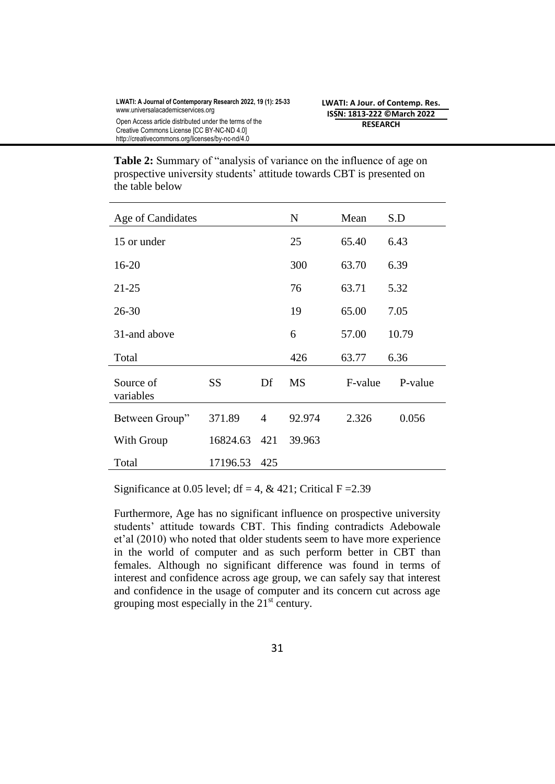| <b>Table 2:</b> Summary of "analysis of variance on the influence of age on |
|-----------------------------------------------------------------------------|
| prospective university students' attitude towards CBT is presented on       |
| the table below                                                             |

| Age of Candidates      |           |     | $\mathbf N$ | Mean    | S.D     |
|------------------------|-----------|-----|-------------|---------|---------|
| 15 or under            |           |     | 25          | 65.40   | 6.43    |
| $16 - 20$              |           |     | 300         | 63.70   | 6.39    |
| $21 - 25$              |           |     | 76          | 63.71   | 5.32    |
| $26 - 30$              |           |     | 19          | 65.00   | 7.05    |
| 31-and above           |           |     | 6           | 57.00   | 10.79   |
| Total                  |           |     | 426         | 63.77   | 6.36    |
| Source of<br>variables | <b>SS</b> | Df  | <b>MS</b>   | F-value | P-value |
| Between Group"         | 371.89    | 4   | 92.974      | 2.326   | 0.056   |
| With Group             | 16824.63  | 421 | 39.963      |         |         |
| Total                  | 17196.53  | 425 |             |         |         |

Significance at 0.05 level; df = 4, & 421; Critical F = 2.39

Furthermore, Age has no significant influence on prospective university students' attitude towards CBT. This finding contradicts Adebowale et'al (2010) who noted that older students seem to have more experience in the world of computer and as such perform better in CBT than females. Although no significant difference was found in terms of interest and confidence across age group, we can safely say that interest and confidence in the usage of computer and its concern cut across age grouping most especially in the  $21<sup>st</sup>$  century.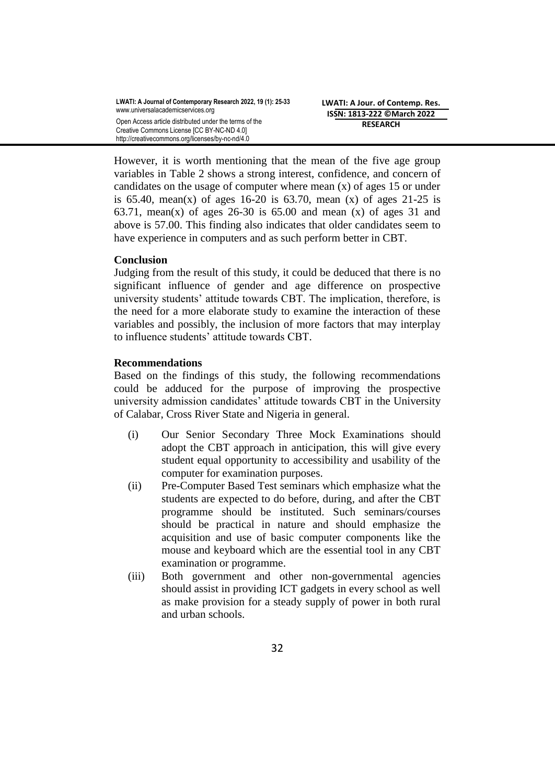However, it is worth mentioning that the mean of the five age group variables in Table 2 shows a strong interest, confidence, and concern of candidates on the usage of computer where mean (x) of ages 15 or under is 65.40, mean(x) of ages 16-20 is 63.70, mean (x) of ages 21-25 is 63.71, mean(x) of ages 26-30 is 65.00 and mean (x) of ages 31 and above is 57.00. This finding also indicates that older candidates seem to have experience in computers and as such perform better in CBT.

## **Conclusion**

Judging from the result of this study, it could be deduced that there is no significant influence of gender and age difference on prospective university students' attitude towards CBT. The implication, therefore, is the need for a more elaborate study to examine the interaction of these variables and possibly, the inclusion of more factors that may interplay to influence students' attitude towards CBT.

## **Recommendations**

Based on the findings of this study, the following recommendations could be adduced for the purpose of improving the prospective university admission candidates' attitude towards CBT in the University of Calabar, Cross River State and Nigeria in general.

- (i) Our Senior Secondary Three Mock Examinations should adopt the CBT approach in anticipation, this will give every student equal opportunity to accessibility and usability of the computer for examination purposes.
- (ii) Pre-Computer Based Test seminars which emphasize what the students are expected to do before, during, and after the CBT programme should be instituted. Such seminars/courses should be practical in nature and should emphasize the acquisition and use of basic computer components like the mouse and keyboard which are the essential tool in any CBT examination or programme.
- (iii) Both government and other non-governmental agencies should assist in providing ICT gadgets in every school as well as make provision for a steady supply of power in both rural and urban schools.